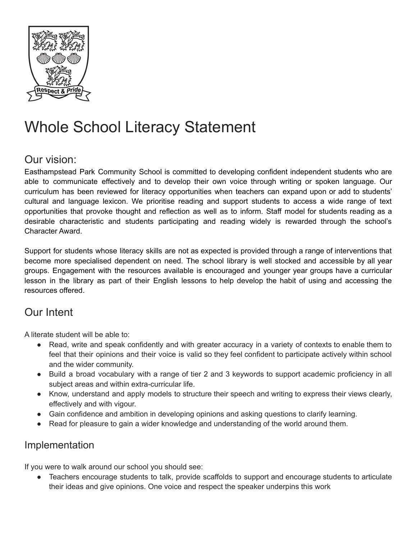

## Whole School Literacy Statement

## Our vision:

Easthampstead Park Community School is committed to developing confident independent students who are able to communicate effectively and to develop their own voice through writing or spoken language. Our curriculum has been reviewed for literacy opportunities when teachers can expand upon or add to students' cultural and language lexicon. We prioritise reading and support students to access a wide range of text opportunities that provoke thought and reflection as well as to inform. Staff model for students reading as a desirable characteristic and students participating and reading widely is rewarded through the school's Character Award.

Support for students whose literacy skills are not as expected is provided through a range of interventions that become more specialised dependent on need. The school library is well stocked and accessible by all year groups. Engagement with the resources available is encouraged and younger year groups have a curricular lesson in the library as part of their English lessons to help develop the habit of using and accessing the resources offered.

## Our Intent

A literate student will be able to:

- Read, write and speak confidently and with greater accuracy in a variety of contexts to enable them to feel that their opinions and their voice is valid so they feel confident to participate actively within school and the wider community.
- Build a broad vocabulary with a range of tier 2 and 3 keywords to support academic proficiency in all subject areas and within extra-curricular life.
- Know, understand and apply models to structure their speech and writing to express their views clearly, effectively and with vigour.
- Gain confidence and ambition in developing opinions and asking questions to clarify learning.
- Read for pleasure to gain a wider knowledge and understanding of the world around them.

## Implementation

If you were to walk around our school you should see:

● Teachers encourage students to talk, provide scaffolds to support and encourage students to articulate their ideas and give opinions. One voice and respect the speaker underpins this work